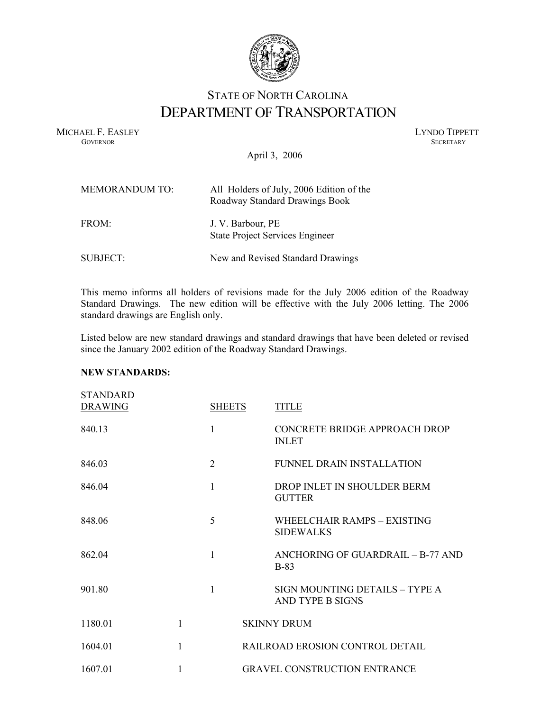

## STATE OF NORTH CAROLINA DEPARTMENT OF TRANSPORTATION

MICHAEL F. EASLEY LYNDO TIPPETT GOVERNOR SECRETARY **GOVERNOR SECRETARY** SECRETARY

April 3, 2006

| <b>MEMORANDUM TO:</b> | All Holders of July, 2006 Edition of the<br>Roadway Standard Drawings Book |
|-----------------------|----------------------------------------------------------------------------|
| FROM:                 | J. V. Barbour, PE<br><b>State Project Services Engineer</b>                |
| SUBJECT:              | New and Revised Standard Drawings                                          |

This memo informs all holders of revisions made for the July 2006 edition of the Roadway Standard Drawings. The new edition will be effective with the July 2006 letting. The 2006 standard drawings are English only.

Listed below are new standard drawings and standard drawings that have been deleted or revised since the January 2002 edition of the Roadway Standard Drawings.

## **NEW STANDARDS:**

| <b>STANDARD</b><br><b>DRAWING</b> |   | <b>SHEETS</b>  | <b>TITLE</b>                                       |
|-----------------------------------|---|----------------|----------------------------------------------------|
| 840 13                            |   | 1              | CONCRETE BRIDGE APPROACH DROP<br><b>INLET</b>      |
| 846.03                            |   | $\overline{2}$ | FUNNEL DRAIN INSTALLATION                          |
| 846.04                            |   | 1              | DROP INLET IN SHOULDER BERM<br><b>GUTTER</b>       |
| 848.06                            |   | 5              | WHEEL CHAIR RAMPS - EXISTING<br><b>SIDEWALKS</b>   |
| 862.04                            |   | 1              | ANCHORING OF GUARDRAIL - B-77 AND<br><b>B-83</b>   |
| 901 80                            |   | 1              | SIGN MOUNTING DETAILS - TYPE A<br>AND TYPE B SIGNS |
| 1180 01                           | 1 |                | <b>SKINNY DRUM</b>                                 |
| 1604 01                           | 1 |                | RAILROAD EROSION CONTROL DETAIL                    |
| 1607 01                           | 1 |                | <b>GRAVEL CONSTRUCTION ENTRANCE</b>                |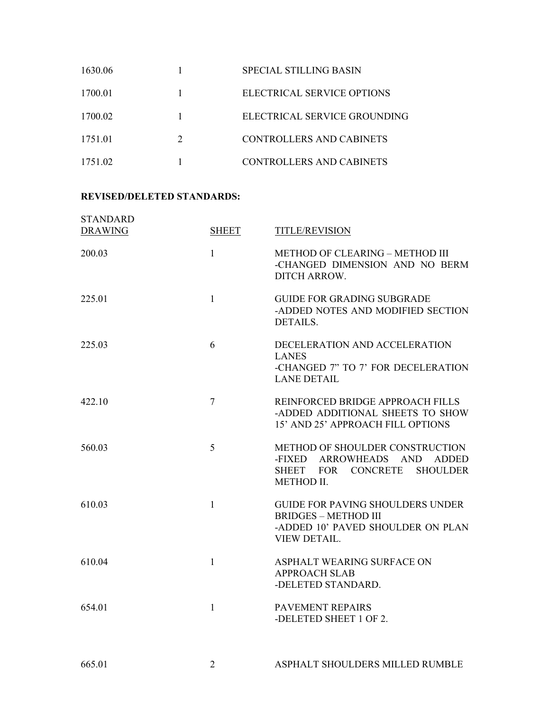| 1630.06 |                             | SPECIAL STILLING BASIN       |
|---------|-----------------------------|------------------------------|
| 1700.01 |                             | ELECTRICAL SERVICE OPTIONS   |
| 1700.02 |                             | ELECTRICAL SERVICE GROUNDING |
| 1751.01 | $\mathcal{D}_{\mathcal{L}}$ | CONTROLLERS AND CABINETS     |
| 1751.02 |                             | CONTROLLERS AND CABINETS     |

## **REVISED/DELETED STANDARDS:**

| <b>STANDARD</b><br><b>DRAWING</b> | <b>SHEET</b>   | TITLE/REVISION                                                                                                                                                       |
|-----------------------------------|----------------|----------------------------------------------------------------------------------------------------------------------------------------------------------------------|
| 200.03                            | $\mathbf{1}$   | METHOD OF CLEARING - METHOD III<br>-CHANGED DIMENSION AND NO BERM<br>DITCH ARROW.                                                                                    |
| 225.01                            | $\mathbf{1}$   | <b>GUIDE FOR GRADING SUBGRADE</b><br>-ADDED NOTES AND MODIFIED SECTION<br><b>DETAILS.</b>                                                                            |
| 225.03                            | 6              | DECELERATION AND ACCELERATION<br><b>LANES</b><br>-CHANGED 7" TO 7' FOR DECELERATION<br><b>LANE DETAIL</b>                                                            |
| 422.10                            | $\overline{7}$ | REINFORCED BRIDGE APPROACH FILLS<br>-ADDED ADDITIONAL SHEETS TO SHOW<br>15' AND 25' APPROACH FILL OPTIONS                                                            |
| 560.03                            | 5              | METHOD OF SHOULDER CONSTRUCTION<br><b>ARROWHEADS</b><br>-FIXED<br><b>AND</b><br><b>ADDED</b><br><b>CONCRETE</b><br><b>SHOULDER</b><br>SHEET FOR<br><b>METHOD II.</b> |
| 610.03                            | $\mathbf{1}$   | <b>GUIDE FOR PAVING SHOULDERS UNDER</b><br><b>BRIDGES - METHOD III</b><br>-ADDED 10' PAVED SHOULDER ON PLAN<br><b>VIEW DETAIL.</b>                                   |
| 610.04                            | $\mathbf{1}$   | ASPHALT WEARING SURFACE ON<br><b>APPROACH SLAB</b><br>-DELETED STANDARD.                                                                                             |
| 654.01                            | $\mathbf{1}$   | PAVEMENT REPAIRS<br>-DELETED SHEET 1 OF 2.                                                                                                                           |
| 665.01                            | $\overline{2}$ | ASPHALT SHOULDERS MILLED RUMBLE                                                                                                                                      |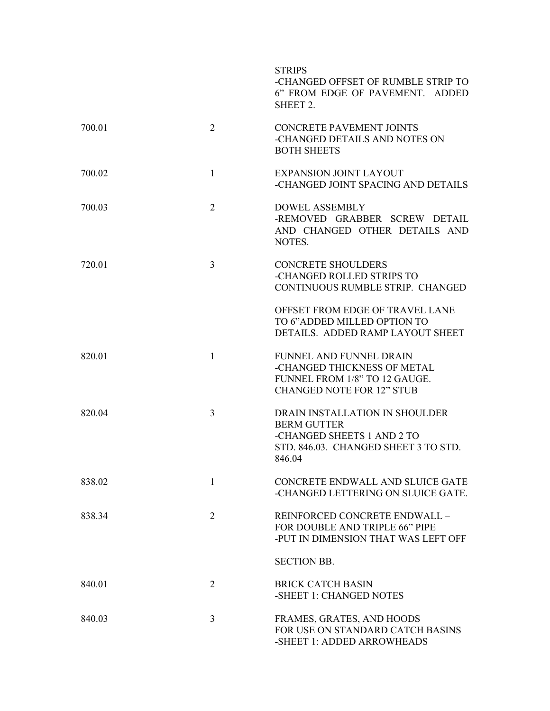|        |                | <b>STRIPS</b><br>-CHANGED OFFSET OF RUMBLE STRIP TO<br>6" FROM EDGE OF PAVEMENT. ADDED<br>SHEET 2.                                   |
|--------|----------------|--------------------------------------------------------------------------------------------------------------------------------------|
| 700.01 | $\overline{2}$ | <b>CONCRETE PAVEMENT JOINTS</b><br>-CHANGED DETAILS AND NOTES ON<br><b>BOTH SHEETS</b>                                               |
| 700.02 | $\mathbf{1}$   | <b>EXPANSION JOINT LAYOUT</b><br>-CHANGED JOINT SPACING AND DETAILS                                                                  |
| 700.03 | $\overline{2}$ | <b>DOWEL ASSEMBLY</b><br>-REMOVED GRABBER SCREW DETAIL<br>AND CHANGED OTHER DETAILS AND<br>NOTES.                                    |
| 720.01 | $\overline{3}$ | <b>CONCRETE SHOULDERS</b><br>-CHANGED ROLLED STRIPS TO<br>CONTINUOUS RUMBLE STRIP. CHANGED                                           |
|        |                | OFFSET FROM EDGE OF TRAVEL LANE<br>TO 6"ADDED MILLED OPTION TO<br>DETAILS. ADDED RAMP LAYOUT SHEET                                   |
| 820.01 | $\mathbf{1}$   | <b>FUNNEL AND FUNNEL DRAIN</b><br>-CHANGED THICKNESS OF METAL<br>FUNNEL FROM 1/8" TO 12 GAUGE.<br><b>CHANGED NOTE FOR 12" STUB</b>   |
| 820.04 | $\overline{3}$ | DRAIN INSTALLATION IN SHOULDER<br><b>BERM GUTTER</b><br>-CHANGED SHEETS 1 AND 2 TO<br>STD. 846.03. CHANGED SHEET 3 TO STD.<br>846.04 |
| 838.02 | 1              | CONCRETE ENDWALL AND SLUICE GATE<br>-CHANGED LETTERING ON SLUICE GATE.                                                               |
| 838.34 | $\overline{2}$ | REINFORCED CONCRETE ENDWALL -<br>FOR DOUBLE AND TRIPLE 66" PIPE<br>-PUT IN DIMENSION THAT WAS LEFT OFF                               |
|        |                | <b>SECTION BB.</b>                                                                                                                   |
| 840.01 | 2              | <b>BRICK CATCH BASIN</b><br>-SHEET 1: CHANGED NOTES                                                                                  |
| 840.03 | 3              | FRAMES, GRATES, AND HOODS<br>FOR USE ON STANDARD CATCH BASINS<br>-SHEET 1: ADDED ARROWHEADS                                          |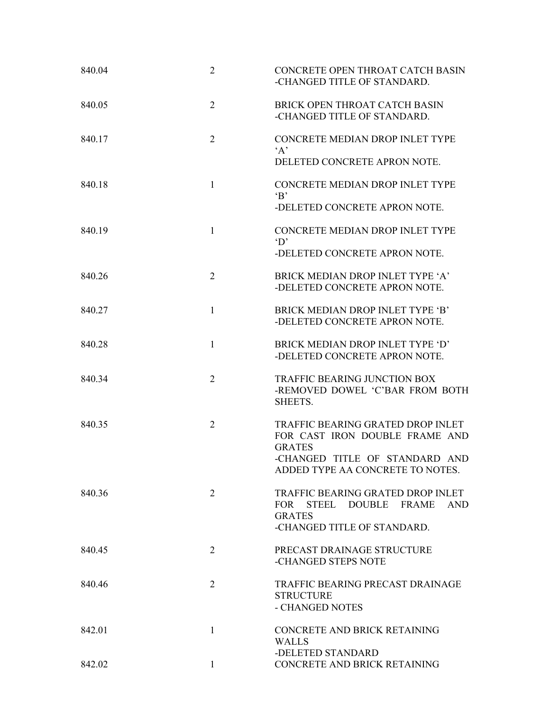| 840.04 | $\overline{2}$ | CONCRETE OPEN THROAT CATCH BASIN<br>-CHANGED TITLE OF STANDARD.                                                                                            |
|--------|----------------|------------------------------------------------------------------------------------------------------------------------------------------------------------|
| 840.05 | $\overline{2}$ | BRICK OPEN THROAT CATCH BASIN<br>-CHANGED TITLE OF STANDARD.                                                                                               |
| 840.17 | $\overline{2}$ | CONCRETE MEDIAN DROP INLET TYPE<br>$\Delta$<br>DELETED CONCRETE APRON NOTE.                                                                                |
| 840 18 | $\mathbf{1}$   | CONCRETE MEDIAN DROP INLET TYPE<br>$\mathbf{B}$<br>-DELETED CONCRETE APRON NOTE.                                                                           |
| 840.19 | $\mathbf{1}$   | CONCRETE MEDIAN DROP INLET TYPE<br>$\mathbf{D}^{\prime}$<br>-DELETED CONCRETE APRON NOTE.                                                                  |
| 840.26 | $\overline{2}$ | BRICK MEDIAN DROP INLET TYPE 'A'<br>-DELETED CONCRETE APRON NOTE.                                                                                          |
| 840 27 | 1              | BRICK MEDIAN DROP INLET TYPE 'B'<br>-DELETED CONCRETE APRON NOTE.                                                                                          |
| 840.28 | 1              | BRICK MEDIAN DROP INLET TYPE 'D'<br>-DELETED CONCRETE APRON NOTE.                                                                                          |
| 840.34 | $\overline{2}$ | <b>TRAFFIC BEARING JUNCTION BOX</b><br>-REMOVED DOWEL 'C'BAR FROM BOTH<br>SHEETS.                                                                          |
| 840.35 | $\overline{2}$ | TRAFFIC BEARING GRATED DROP INLET<br>FOR CAST IRON DOUBLE FRAME AND<br><b>GRATES</b><br>-CHANGED TITLE OF STANDARD AND<br>ADDED TYPE AA CONCRETE TO NOTES. |
| 840.36 | $\overline{2}$ | TRAFFIC BEARING GRATED DROP INLET<br>STEEL DOUBLE<br><b>FRAME</b><br><b>AND</b><br><b>FOR</b><br><b>GRATES</b><br>-CHANGED TITLE OF STANDARD.              |
| 840.45 | 2              | PRECAST DRAINAGE STRUCTURE<br>-CHANGED STEPS NOTE                                                                                                          |
| 840.46 | $\overline{2}$ | TRAFFIC BEARING PRECAST DRAINAGE<br><b>STRUCTURE</b><br>- CHANGED NOTES                                                                                    |
| 842.01 | $\mathbf{1}$   | CONCRETE AND BRICK RETAINING<br><b>WALLS</b>                                                                                                               |
| 842.02 | $\mathbf{1}$   | -DELETED STANDARD<br>CONCRETE AND BRICK RETAINING                                                                                                          |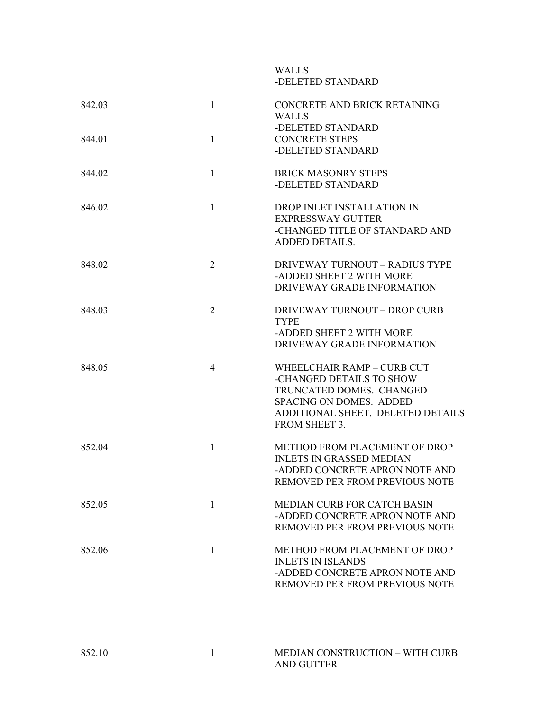## WALLS -DELETED STANDARD

| $\mathbf{1}$<br><b>CONCRETE STEPS</b><br>844.01<br>-DELETED STANDARD<br>$\mathbf{1}$<br><b>BRICK MASONRY STEPS</b><br>844.02<br>-DELETED STANDARD<br>$\mathbf{1}$<br>DROP INLET INSTALLATION IN<br>846.02<br><b>EXPRESSWAY GUTTER</b><br>-CHANGED TITLE OF STANDARD AND<br>ADDED DETAILS.<br>$\overline{2}$<br>DRIVEWAY TURNOUT - RADIUS TYPE<br>848.02<br>-ADDED SHEET 2 WITH MORE<br>DRIVEWAY GRADE INFORMATION<br>$\overline{2}$<br><b>DRIVEWAY TURNOUT - DROP CURB</b><br>848.03<br><b>TYPE</b><br>-ADDED SHEET 2 WITH MORE<br>DRIVEWAY GRADE INFORMATION<br>$\overline{4}$<br>WHEELCHAIR RAMP - CURB CUT<br>848.05<br>-CHANGED DETAILS TO SHOW<br>TRUNCATED DOMES. CHANGED<br>SPACING ON DOMES. ADDED<br>FROM SHEET 3.<br>$\mathbf{1}$<br>METHOD FROM PLACEMENT OF DROP<br>852.04<br><b>INLETS IN GRASSED MEDIAN</b><br>-ADDED CONCRETE APRON NOTE AND<br>REMOVED PER FROM PREVIOUS NOTE<br>852.05<br>MEDIAN CURB FOR CATCH BASIN<br>1<br>-ADDED CONCRETE APRON NOTE AND<br>REMOVED PER FROM PREVIOUS NOTE<br>$\mathbf{1}$<br>METHOD FROM PLACEMENT OF DROP<br>852.06<br><b>INLETS IN ISLANDS</b><br>-ADDED CONCRETE APRON NOTE AND<br>REMOVED PER FROM PREVIOUS NOTE | 842.03 | $\mathbf{1}$ | CONCRETE AND BRICK RETAINING<br><b>WALLS</b> |
|----------------------------------------------------------------------------------------------------------------------------------------------------------------------------------------------------------------------------------------------------------------------------------------------------------------------------------------------------------------------------------------------------------------------------------------------------------------------------------------------------------------------------------------------------------------------------------------------------------------------------------------------------------------------------------------------------------------------------------------------------------------------------------------------------------------------------------------------------------------------------------------------------------------------------------------------------------------------------------------------------------------------------------------------------------------------------------------------------------------------------------------------------------------------------|--------|--------------|----------------------------------------------|
|                                                                                                                                                                                                                                                                                                                                                                                                                                                                                                                                                                                                                                                                                                                                                                                                                                                                                                                                                                                                                                                                                                                                                                            |        |              | -DELETED STANDARD                            |
|                                                                                                                                                                                                                                                                                                                                                                                                                                                                                                                                                                                                                                                                                                                                                                                                                                                                                                                                                                                                                                                                                                                                                                            |        |              |                                              |
|                                                                                                                                                                                                                                                                                                                                                                                                                                                                                                                                                                                                                                                                                                                                                                                                                                                                                                                                                                                                                                                                                                                                                                            |        |              |                                              |
|                                                                                                                                                                                                                                                                                                                                                                                                                                                                                                                                                                                                                                                                                                                                                                                                                                                                                                                                                                                                                                                                                                                                                                            |        |              |                                              |
|                                                                                                                                                                                                                                                                                                                                                                                                                                                                                                                                                                                                                                                                                                                                                                                                                                                                                                                                                                                                                                                                                                                                                                            |        |              |                                              |
|                                                                                                                                                                                                                                                                                                                                                                                                                                                                                                                                                                                                                                                                                                                                                                                                                                                                                                                                                                                                                                                                                                                                                                            |        |              | ADDITIONAL SHEET. DELETED DETAILS            |
|                                                                                                                                                                                                                                                                                                                                                                                                                                                                                                                                                                                                                                                                                                                                                                                                                                                                                                                                                                                                                                                                                                                                                                            |        |              |                                              |
|                                                                                                                                                                                                                                                                                                                                                                                                                                                                                                                                                                                                                                                                                                                                                                                                                                                                                                                                                                                                                                                                                                                                                                            |        |              |                                              |
|                                                                                                                                                                                                                                                                                                                                                                                                                                                                                                                                                                                                                                                                                                                                                                                                                                                                                                                                                                                                                                                                                                                                                                            |        |              |                                              |

| 852.10 | MEDIAN CONSTRUCTION – WITH CURB |
|--------|---------------------------------|
|        | AND GUTTER                      |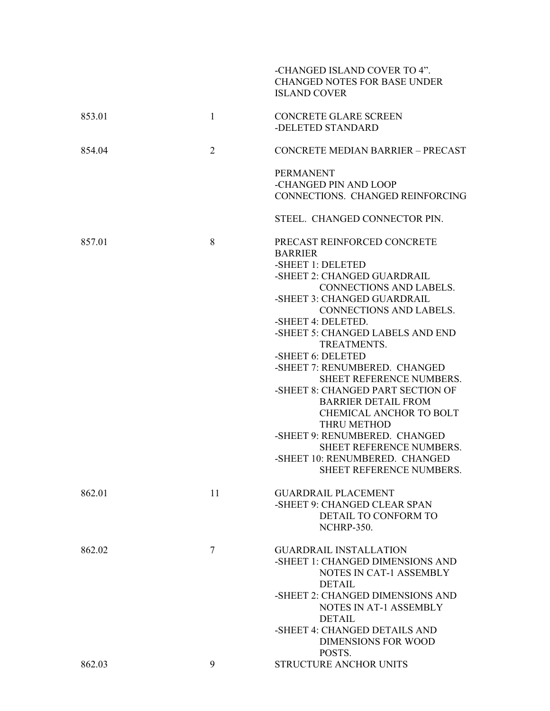|        |                | -CHANGED ISLAND COVER TO 4".<br><b>CHANGED NOTES FOR BASE UNDER</b><br><b>ISLAND COVER</b>                                                                                                                                                                                                                                                                                                                                                                                                                                                                                                              |
|--------|----------------|---------------------------------------------------------------------------------------------------------------------------------------------------------------------------------------------------------------------------------------------------------------------------------------------------------------------------------------------------------------------------------------------------------------------------------------------------------------------------------------------------------------------------------------------------------------------------------------------------------|
| 853.01 | $\mathbf{1}$   | <b>CONCRETE GLARE SCREEN</b><br>-DELETED STANDARD                                                                                                                                                                                                                                                                                                                                                                                                                                                                                                                                                       |
| 854.04 | $\overline{2}$ | CONCRETE MEDIAN BARRIER - PRECAST                                                                                                                                                                                                                                                                                                                                                                                                                                                                                                                                                                       |
|        |                | <b>PERMANENT</b><br>-CHANGED PIN AND LOOP<br>CONNECTIONS. CHANGED REINFORCING                                                                                                                                                                                                                                                                                                                                                                                                                                                                                                                           |
|        |                | STEEL. CHANGED CONNECTOR PIN.                                                                                                                                                                                                                                                                                                                                                                                                                                                                                                                                                                           |
| 857.01 | 8              | PRECAST REINFORCED CONCRETE<br><b>BARRIER</b><br>-SHEET 1: DELETED<br>-SHEET 2: CHANGED GUARDRAIL<br><b>CONNECTIONS AND LABELS.</b><br>-SHEET 3: CHANGED GUARDRAIL<br>CONNECTIONS AND LABELS.<br>-SHEET 4: DELETED.<br>-SHEET 5: CHANGED LABELS AND END<br>TREATMENTS.<br>-SHEET 6: DELETED<br>-SHEET 7: RENUMBERED. CHANGED<br>SHEET REFERENCE NUMBERS.<br>-SHEET 8: CHANGED PART SECTION OF<br><b>BARRIER DETAIL FROM</b><br><b>CHEMICAL ANCHOR TO BOLT</b><br>THRU METHOD<br>-SHEET 9: RENUMBERED. CHANGED<br>SHEET REFERENCE NUMBERS.<br>-SHEET 10: RENUMBERED. CHANGED<br>SHEET REFERENCE NUMBERS. |
| 862.01 | 11             | <b>GUARDRAIL PLACEMENT</b><br>-SHEET 9: CHANGED CLEAR SPAN<br>DETAIL TO CONFORM TO<br><b>NCHRP-350.</b>                                                                                                                                                                                                                                                                                                                                                                                                                                                                                                 |
| 862.02 | 7              | <b>GUARDRAIL INSTALLATION</b><br>-SHEET 1: CHANGED DIMENSIONS AND<br><b>NOTES IN CAT-1 ASSEMBLY</b><br><b>DETAIL</b><br>-SHEET 2: CHANGED DIMENSIONS AND<br><b>NOTES IN AT-1 ASSEMBLY</b><br><b>DETAIL</b><br>-SHEET 4: CHANGED DETAILS AND<br><b>DIMENSIONS FOR WOOD</b><br>POSTS.                                                                                                                                                                                                                                                                                                                     |
| 862.03 | 9              | STRUCTURE ANCHOR UNITS                                                                                                                                                                                                                                                                                                                                                                                                                                                                                                                                                                                  |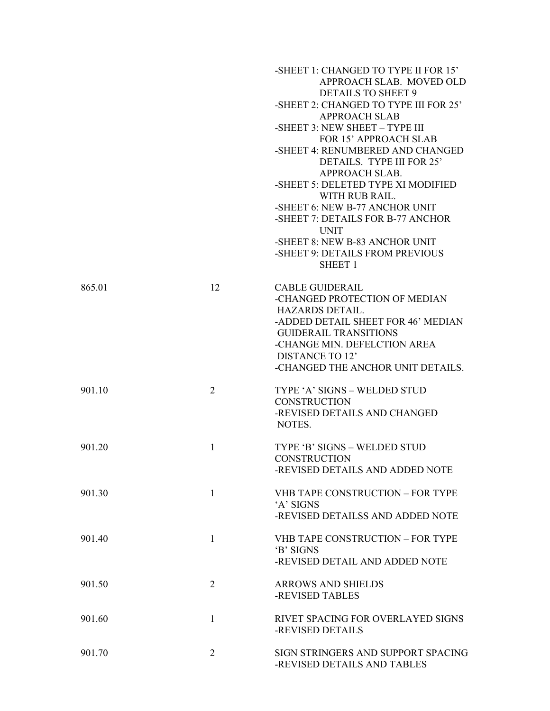|        |              | -SHEET 1: CHANGED TO TYPE II FOR 15'<br>APPROACH SLAB. MOVED OLD<br><b>DETAILS TO SHEET 9</b> |
|--------|--------------|-----------------------------------------------------------------------------------------------|
|        |              | -SHEET 2: CHANGED TO TYPE III FOR 25'<br><b>APPROACH SLAB</b>                                 |
|        |              | -SHEET 3: NEW SHEET - TYPE III                                                                |
|        |              | <b>FOR 15' APPROACH SLAB</b><br>-SHEET 4: RENUMBERED AND CHANGED                              |
|        |              | DETAILS. TYPE III FOR 25'                                                                     |
|        |              | APPROACH SLAB.                                                                                |
|        |              | -SHEET 5: DELETED TYPE XI MODIFIED                                                            |
|        |              | WITH RUB RAIL.                                                                                |
|        |              | -SHEET 6: NEW B-77 ANCHOR UNIT<br>-SHEET 7: DETAILS FOR B-77 ANCHOR                           |
|        |              | <b>UNIT</b>                                                                                   |
|        |              | -SHEET 8: NEW B-83 ANCHOR UNIT                                                                |
|        |              | -SHEET 9: DETAILS FROM PREVIOUS<br><b>SHEET 1</b>                                             |
| 865.01 | 12           | <b>CABLE GUIDERAIL</b>                                                                        |
|        |              | -CHANGED PROTECTION OF MEDIAN                                                                 |
|        |              | HAZARDS DETAIL.                                                                               |
|        |              | -ADDED DETAIL SHEET FOR 46' MEDIAN<br><b>GUIDERAIL TRANSITIONS</b>                            |
|        |              | -CHANGE MIN. DEFELCTION AREA                                                                  |
|        |              | <b>DISTANCE TO 12'</b>                                                                        |
|        |              | -CHANGED THE ANCHOR UNIT DETAILS.                                                             |
| 901.10 | 2            | TYPE 'A' SIGNS - WELDED STUD                                                                  |
|        |              | <b>CONSTRUCTION</b>                                                                           |
|        |              | -REVISED DETAILS AND CHANGED<br>NOTES.                                                        |
| 901 20 | $\mathbf{1}$ | TYPE 'B' SIGNS - WELDED STUD                                                                  |
|        |              | <b>CONSTRUCTION</b>                                                                           |
|        |              | -REVISED DETAILS AND ADDED NOTE                                                               |
| 901.30 | $\mathbf{1}$ | <b>VHB TAPE CONSTRUCTION - FOR TYPE</b>                                                       |
|        |              | 'A' SIGNS                                                                                     |
|        |              | -REVISED DETAILSS AND ADDED NOTE                                                              |
| 901.40 | $\mathbf{1}$ | <b>VHB TAPE CONSTRUCTION - FOR TYPE</b>                                                       |
|        |              | 'B' SIGNS                                                                                     |
|        |              | -REVISED DETAIL AND ADDED NOTE                                                                |
| 901.50 | 2            | <b>ARROWS AND SHIELDS</b>                                                                     |
|        |              | -REVISED TABLES                                                                               |
| 901.60 | $\mathbf{1}$ | RIVET SPACING FOR OVERLAYED SIGNS                                                             |
|        |              | -REVISED DETAILS                                                                              |
| 901.70 | 2            | SIGN STRINGERS AND SUPPORT SPACING                                                            |
|        |              | -REVISED DETAILS AND TABLES                                                                   |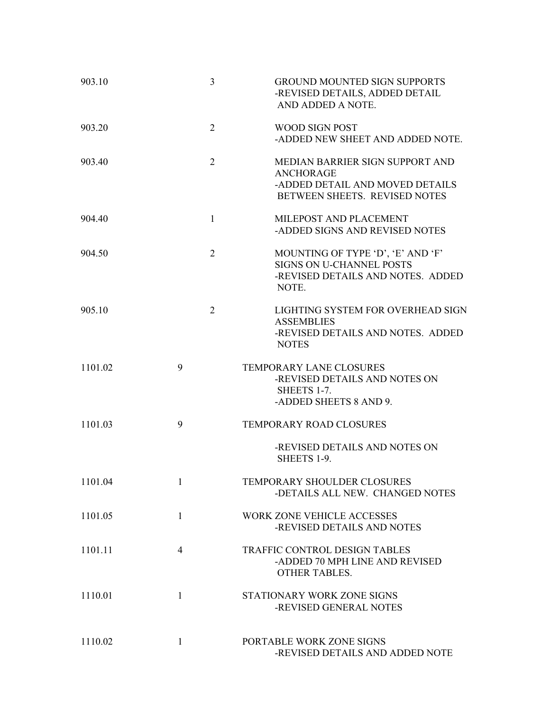| 903.10  | 3              | <b>GROUND MOUNTED SIGN SUPPORTS</b><br>-REVISED DETAILS, ADDED DETAIL<br>AND ADDED A NOTE.                              |
|---------|----------------|-------------------------------------------------------------------------------------------------------------------------|
| 903.20  | $\overline{2}$ | <b>WOOD SIGN POST</b><br>-ADDED NEW SHEET AND ADDED NOTE.                                                               |
| 903.40  | $\overline{2}$ | MEDIAN BARRIER SIGN SUPPORT AND<br><b>ANCHORAGE</b><br>-ADDED DETAIL AND MOVED DETAILS<br>BETWEEN SHEETS. REVISED NOTES |
| 904.40  | $\mathbf{1}$   | MILEPOST AND PLACEMENT<br>-ADDED SIGNS AND REVISED NOTES                                                                |
| 904.50  | $\overline{2}$ | MOUNTING OF TYPE 'D', 'E' AND 'F'<br><b>SIGNS ON U-CHANNEL POSTS</b><br>-REVISED DETAILS AND NOTES. ADDED<br>NOTE.      |
| 905.10  | $\overline{2}$ | LIGHTING SYSTEM FOR OVERHEAD SIGN<br><b>ASSEMBLIES</b><br>-REVISED DETAILS AND NOTES. ADDED<br><b>NOTES</b>             |
| 1101.02 | 9              | TEMPORARY LANE CLOSURES<br>-REVISED DETAILS AND NOTES ON<br>SHEETS 1-7.<br>-ADDED SHEETS 8 AND 9.                       |
| 1101.03 | 9              | <b>TEMPORARY ROAD CLOSURES</b>                                                                                          |
|         |                | -REVISED DETAILS AND NOTES ON<br><b>SHEETS 1-9.</b>                                                                     |
| 1101.04 | 1              | TEMPORARY SHOULDER CLOSURES<br>-DETAILS ALL NEW. CHANGED NOTES                                                          |
| 1101.05 | $\mathbf{1}$   | <b>WORK ZONE VEHICLE ACCESSES</b><br>-REVISED DETAILS AND NOTES                                                         |
| 1101.11 | $\overline{4}$ | TRAFFIC CONTROL DESIGN TABLES<br>-ADDED 70 MPH LINE AND REVISED<br><b>OTHER TABLES.</b>                                 |
| 1110.01 | $\mathbf{1}$   | STATIONARY WORK ZONE SIGNS<br>-REVISED GENERAL NOTES                                                                    |
| 1110.02 | 1              | PORTABLE WORK ZONE SIGNS<br>-REVISED DETAILS AND ADDED NOTE                                                             |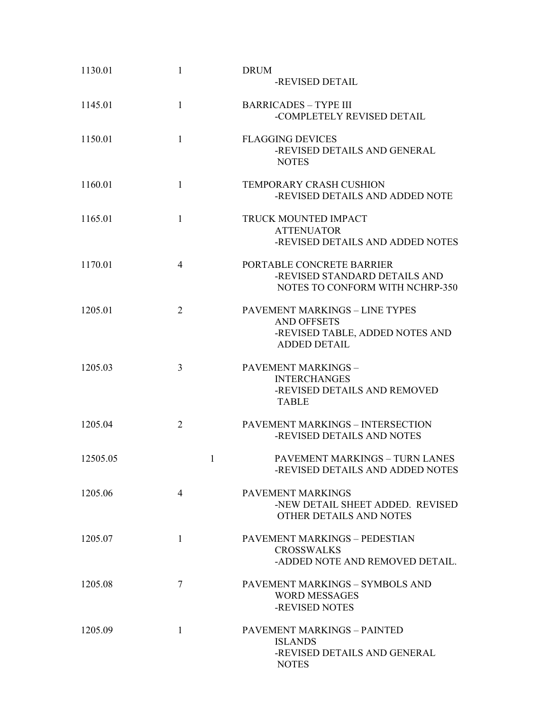| 1130.01  | 1              | <b>DRUM</b><br>-REVISED DETAIL                                                                                        |
|----------|----------------|-----------------------------------------------------------------------------------------------------------------------|
| 1145.01  | $\mathbf{1}$   | <b>BARRICADES - TYPE III</b><br>-COMPLETELY REVISED DETAIL                                                            |
| 1150.01  | $\mathbf{1}$   | <b>FLAGGING DEVICES</b><br>-REVISED DETAILS AND GENERAL<br><b>NOTES</b>                                               |
| 1160.01  | 1              | <b>TEMPORARY CRASH CUSHION</b><br>-REVISED DETAILS AND ADDED NOTE                                                     |
| 1165.01  | $\mathbf{1}$   | TRUCK MOUNTED IMPACT<br><b>ATTENUATOR</b><br>-REVISED DETAILS AND ADDED NOTES                                         |
| 1170.01  | $\overline{4}$ | PORTABLE CONCRETE BARRIER<br>-REVISED STANDARD DETAILS AND<br>NOTES TO CONFORM WITH NCHRP-350                         |
| 1205.01  | $\overline{2}$ | <b>PAVEMENT MARKINGS - LINE TYPES</b><br><b>AND OFFSETS</b><br>-REVISED TABLE, ADDED NOTES AND<br><b>ADDED DETAIL</b> |
| 1205.03  | 3              | PAVEMENT MARKINGS -<br><b>INTERCHANGES</b><br>-REVISED DETAILS AND REMOVED<br><b>TABLE</b>                            |
| 1205.04  | $\overline{2}$ | PAVEMENT MARKINGS - INTERSECTION<br>-REVISED DETAILS AND NOTES                                                        |
| 12505.05 | 1              | PAVEMENT MARKINGS - TURN LANES<br>-REVISED DETAILS AND ADDED NOTES                                                    |
| 1205.06  | $\overline{4}$ | PAVEMENT MARKINGS<br>-NEW DETAIL SHEET ADDED. REVISED<br>OTHER DETAILS AND NOTES                                      |
| 1205.07  | $\mathbf{1}$   | PAVEMENT MARKINGS - PEDESTIAN<br><b>CROSSWALKS</b><br>-ADDED NOTE AND REMOVED DETAIL.                                 |
| 1205.08  | 7              | PAVEMENT MARKINGS - SYMBOLS AND<br>WORD MESSAGES<br>-REVISED NOTES                                                    |
| 1205.09  | 1              | PAVEMENT MARKINGS - PAINTED<br><b>ISLANDS</b><br>-REVISED DETAILS AND GENERAL<br><b>NOTES</b>                         |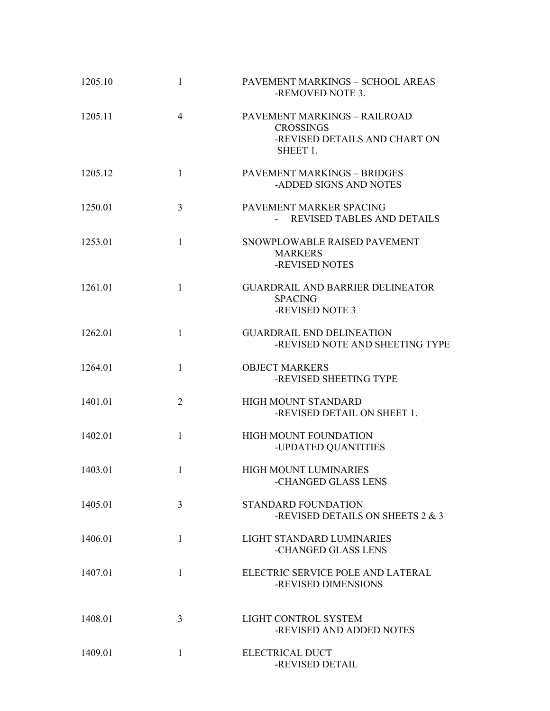| 1205.10 | $\mathbf{1}$   | PAVEMENT MARKINGS - SCHOOL AREAS<br>-REMOVED NOTE 3.                                          |
|---------|----------------|-----------------------------------------------------------------------------------------------|
| 1205.11 | $\overline{4}$ | PAVEMENT MARKINGS - RAILROAD<br><b>CROSSINGS</b><br>-REVISED DETAILS AND CHART ON<br>SHEET 1. |
| 1205.12 | 1              | <b>PAVEMENT MARKINGS - BRIDGES</b><br>-ADDED SIGNS AND NOTES                                  |
| 1250.01 | 3              | PAVEMENT MARKER SPACING<br>- REVISED TABLES AND DETAILS                                       |
| 1253.01 | $\mathbf{1}$   | SNOWPLOWABLE RAISED PAVEMENT<br><b>MARKERS</b><br>-REVISED NOTES                              |
| 1261.01 | $\mathbf{1}$   | <b>GUARDRAIL AND BARRIER DELINEATOR</b><br><b>SPACING</b><br>-REVISED NOTE 3                  |
| 1262.01 | $\mathbf{1}$   | <b>GUARDRAIL END DELINEATION</b><br>-REVISED NOTE AND SHEETING TYPE                           |
| 1264.01 | 1              | <b>OBJECT MARKERS</b><br>-REVISED SHEETING TYPE                                               |
| 1401.01 | $\overline{2}$ | HIGH MOUNT STANDARD<br>-REVISED DETAIL ON SHEET 1.                                            |
| 1402.01 | $\mathbf{1}$   | <b>HIGH MOUNT FOUNDATION</b><br>-UPDATED QUANTITIES                                           |
| 1403.01 | 1              | HIGH MOUNT LUMINARIES<br>-CHANGED GLASS LENS                                                  |
| 1405 01 | 3              | <b>STANDARD FOUNDATION</b><br>-REVISED DETAILS ON SHEETS 2 & 3                                |
| 1406.01 | $\mathbf{1}$   | LIGHT STANDARD LUMINARIES<br>-CHANGED GLASS LENS                                              |
| 1407.01 | $\mathbf{1}$   | ELECTRIC SERVICE POLE AND LATERAL<br>-REVISED DIMENSIONS                                      |
| 1408.01 | 3              | LIGHT CONTROL SYSTEM<br>-REVISED AND ADDED NOTES                                              |
| 1409.01 | 1              | ELECTRICAL DUCT<br>-REVISED DETAIL                                                            |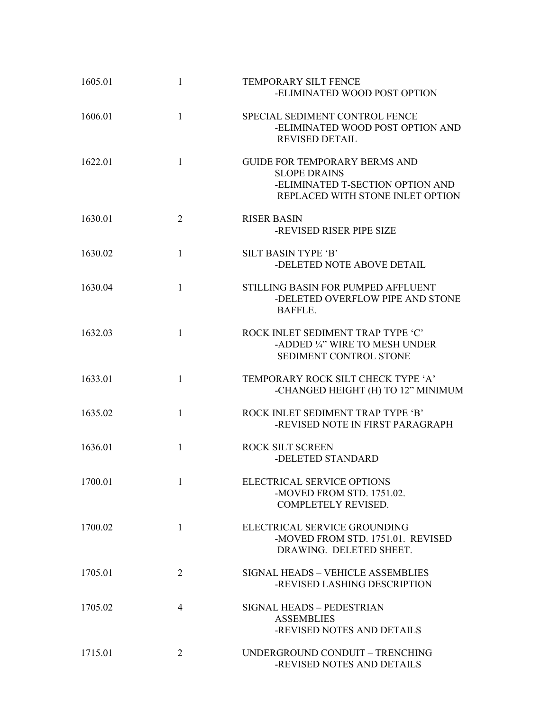| 1605.01 | 1              | <b>TEMPORARY SILT FENCE</b><br>-ELIMINATED WOOD POST OPTION                                                                         |
|---------|----------------|-------------------------------------------------------------------------------------------------------------------------------------|
| 1606.01 | $\mathbf{1}$   | SPECIAL SEDIMENT CONTROL FENCE<br>-ELIMINATED WOOD POST OPTION AND<br><b>REVISED DETAIL</b>                                         |
| 1622.01 | $\mathbf{1}$   | <b>GUIDE FOR TEMPORARY BERMS AND</b><br><b>SLOPE DRAINS</b><br>-ELIMINATED T-SECTION OPTION AND<br>REPLACED WITH STONE INLET OPTION |
| 1630.01 | $\overline{2}$ | <b>RISER BASIN</b><br>-REVISED RISER PIPE SIZE                                                                                      |
| 1630.02 | $\mathbf{1}$   | <b>SILT BASIN TYPE 'B'</b><br>-DELETED NOTE ABOVE DETAIL                                                                            |
| 1630.04 | 1              | STILLING BASIN FOR PUMPED AFFLUENT<br>-DELETED OVERFLOW PIPE AND STONE<br>BAFFLE.                                                   |
| 1632.03 | $\mathbf{1}$   | ROCK INLET SEDIMENT TRAP TYPE 'C'<br>-ADDED 1/4" WIRE TO MESH UNDER<br>SEDIMENT CONTROL STONE                                       |
| 1633.01 | 1              | TEMPORARY ROCK SILT CHECK TYPE 'A'<br>-CHANGED HEIGHT (H) TO 12" MINIMUM                                                            |
| 1635.02 | $\mathbf{1}$   | ROCK INLET SEDIMENT TRAP TYPE 'B'<br>-REVISED NOTE IN FIRST PARAGRAPH                                                               |
| 1636.01 | 1              | ROCK SILT SCREEN<br>-DELETED STANDARD                                                                                               |
| 1700.01 |                | ELECTRICAL SERVICE OPTIONS<br>-MOVED FROM STD. 1751.02.<br><b>COMPLETELY REVISED.</b>                                               |
| 1700.02 | $\mathbf{1}$   | ELECTRICAL SERVICE GROUNDING<br>-MOVED FROM STD. 1751.01. REVISED<br>DRAWING. DELETED SHEET.                                        |
| 1705.01 | $\overline{2}$ | <b>SIGNAL HEADS - VEHICLE ASSEMBLIES</b><br>-REVISED LASHING DESCRIPTION                                                            |
| 1705.02 | $\overline{4}$ | SIGNAL HEADS - PEDESTRIAN<br><b>ASSEMBLIES</b><br>-REVISED NOTES AND DETAILS                                                        |
| 1715.01 | $\overline{2}$ | UNDERGROUND CONDUIT - TRENCHING<br>-REVISED NOTES AND DETAILS                                                                       |